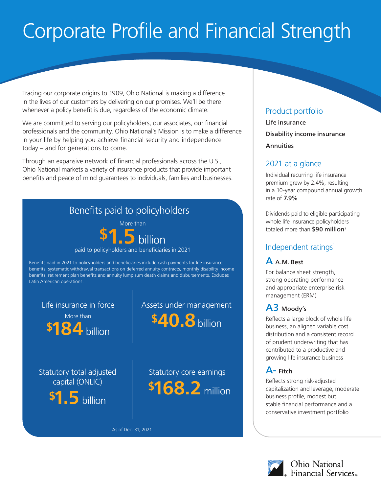# Corporate Profile and Financial Strength

Tracing our corporate origins to 1909, Ohio National is making a difference in the lives of our customers by delivering on our promises. We'll be there whenever a policy benefit is due, regardless of the economic climate.

We are committed to serving our policyholders, our associates, our financial professionals and the community. Ohio National's Mission is to make a difference in your life by helping you achieve financial security and independence today – and for generations to come.

Through an expansive network of financial professionals across the U.S., Ohio National markets a variety of insurance products that provide important benefits and peace of mind guarantees to individuals, families and businesses.



## Product portfolio

Life insurance Disability income insurance Annuities

#### 2021 at a glance

Individual recurring life insurance premium grew by 2.4%, resulting in a 10-year compound annual growth rate of 7.9%

Dividends paid to eligible participating whole life insurance policyholders totaled more than \$90 million<sup>2</sup>

# Independent ratings<sup>1</sup>

A A.M. Best

For balance sheet strength, strong operating performance and appropriate enterprise risk management (ERM)

# A3 Moody's

Reflects a large block of whole life business, an aligned variable cost distribution and a consistent record of prudent underwriting that has contributed to a productive and growing life insurance business

# A- Fitch

Reflects strong risk-adjusted capitalization and leverage, moderate business profile, modest but stable financial performance and a conservative investment portfolio